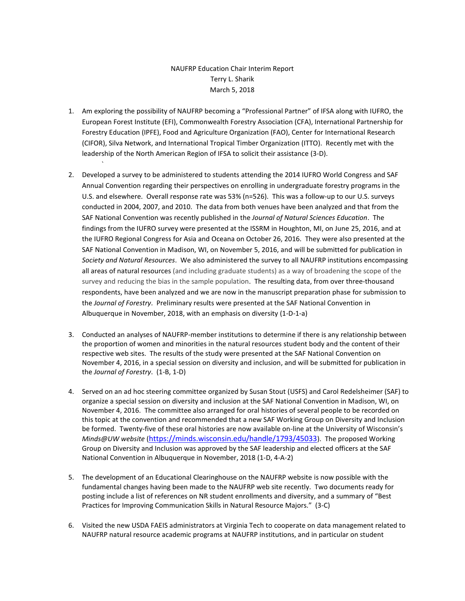## NAUFRP Education Chair Interim Report Terry L. Sharik March 5, 2018

1. Am exploring the possibility of NAUFRP becoming a "Professional Partner" of IFSA along with IUFRO, the European Forest Institute (EFI), Commonwealth Forestry Association (CFA), International Partnership for Forestry Education (IPFE), Food and Agriculture Organization (FAO), Center for International Research (CIFOR), Silva Network, and International Tropical Timber Organization (ITTO). Recently met with the leadership of the North American Region of IFSA to solicit their assistance (3-D).

`

- 2. Developed a survey to be administered to students attending the 2014 IUFRO World Congress and SAF Annual Convention regarding their perspectives on enrolling in undergraduate forestry programs in the U.S. and elsewhere. Overall response rate was 53% (n=526). This was a follow-up to our U.S. surveys conducted in 2004, 2007, and 2010. The data from both venues have been analyzed and that from the SAF National Convention was recently published in the *Journal of Natural Sciences Education*. The findings from the IUFRO survey were presented at the ISSRM in Houghton, MI, on June 25, 2016, and at the IUFRO Regional Congress for Asia and Oceana on October 26, 2016. They were also presented at the SAF National Convention in Madison, WI, on November 5, 2016, and will be submitted for publication in *Society and Natural Resources*. We also administered the survey to all NAUFRP institutions encompassing all areas of natural resources (and including graduate students) as a way of broadening the scope of the survey and reducing the bias in the sample population. The resulting data, from over three-thousand respondents, have been analyzed and we are now in the manuscript preparation phase for submission to the *Journal of Forestry*. Preliminary results were presented at the SAF National Convention in Albuquerque in November, 2018, with an emphasis on diversity (1-D-1-a)
- 3. Conducted an analyses of NAUFRP-member institutions to determine if there is any relationship between the proportion of women and minorities in the natural resources student body and the content of their respective web sites. The results of the study were presented at the SAF National Convention on November 4, 2016, in a special session on diversity and inclusion, and will be submitted for publication in the *Journal of Forestry*. (1-B, 1-D)
- 4. Served on an ad hoc steering committee organized by Susan Stout (USFS) and Carol Redelsheimer (SAF) to organize a special session on diversity and inclusion at the SAF National Convention in Madison, WI, on November 4, 2016. The committee also arranged for oral histories of several people to be recorded on this topic at the convention and recommended that a new SAF Working Group on Diversity and Inclusion be formed. Twenty-five of these oral histories are now available on-line at the University of Wisconsin's *Minds@UW website* (<https://minds.wisconsin.edu/handle/1793/45033>). The proposed Working Group on Diversity and Inclusion was approved by the SAF leadership and elected officers at the SAF National Convention in Albuquerque in November, 2018 (1-D, 4-A-2)
- 5. The development of an Educational Clearinghouse on the NAUFRP website is now possible with the fundamental changes having been made to the NAUFRP web site recently. Two documents ready for posting include a list of references on NR student enrollments and diversity, and a summary of "Best Practices for Improving Communication Skills in Natural Resource Majors." (3-C)
- 6. Visited the new USDA FAEIS administrators at Virginia Tech to cooperate on data management related to NAUFRP natural resource academic programs at NAUFRP institutions, and in particular on student